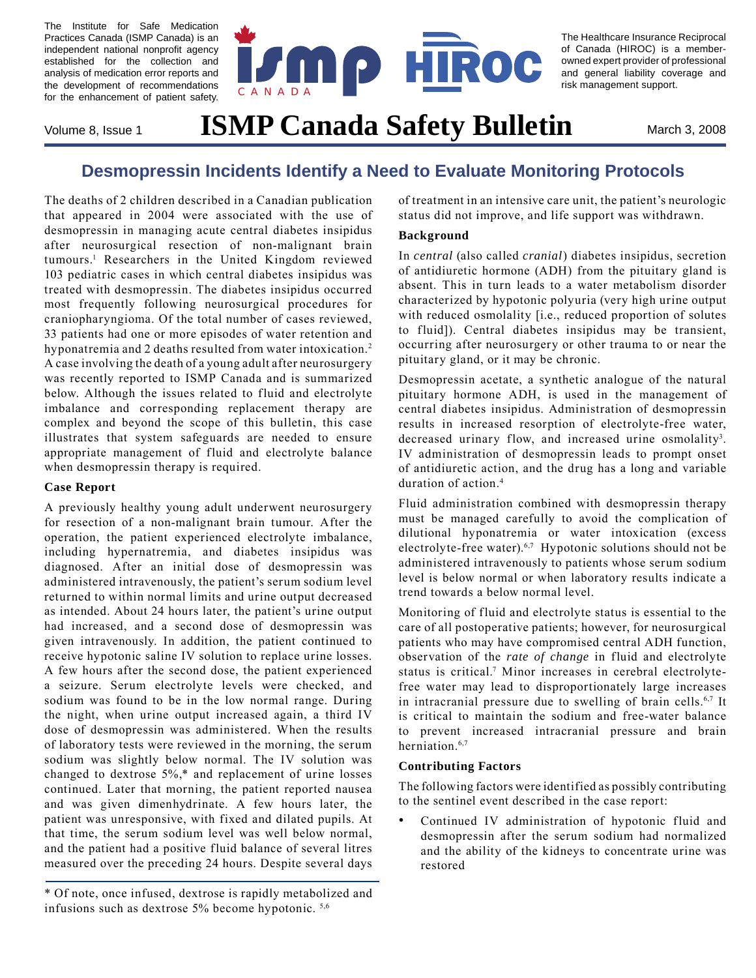The Institute for Safe Medication Practices Canada (ISMP Canada) is an independent national nonprofit agency established for the collection and analysis of medication error reports and the development of recommendations for the enhancement of patient safety.



The Healthcare Insurance Reciprocal of Canada (HIROC) is a memberowned expert provider of professional and general liability coverage and risk management support.

# Volume 8, Issue 1 **ISMP Canada Safety Bulletin** March 3, 2008

## **Desmopressin Incidents Identify a Need to Evaluate Monitoring Protocols**

The deaths of 2 children described in a Canadian publication that appeared in 2004 were associated with the use of desmopressin in managing acute central diabetes insipidus after neurosurgical resection of non-malignant brain tumours.1 Researchers in the United Kingdom reviewed 103 pediatric cases in which central diabetes insipidus was treated with desmopressin. The diabetes insipidus occurred most frequently following neurosurgical procedures for craniopharyngioma. Of the total number of cases reviewed, 33 patients had one or more episodes of water retention and hyponatremia and 2 deaths resulted from water intoxication.<sup>2</sup> A case involving the death of a young adult after neurosurgery was recently reported to ISMP Canada and is summarized below. Although the issues related to fluid and electrolyte imbalance and corresponding replacement therapy are complex and beyond the scope of this bulletin, this case illustrates that system safeguards are needed to ensure appropriate management of fluid and electrolyte balance when desmopressin therapy is required.

#### **Case Report**

A previously healthy young adult underwent neurosurgery for resection of a non-malignant brain tumour. After the operation, the patient experienced electrolyte imbalance, including hypernatremia, and diabetes insipidus was diagnosed. After an initial dose of desmopressin was administered intravenously, the patient's serum sodium level returned to within normal limits and urine output decreased as intended. About 24 hours later, the patient's urine output had increased, and a second dose of desmopressin was given intravenously. In addition, the patient continued to receive hypotonic saline IV solution to replace urine losses. A few hours after the second dose, the patient experienced a seizure. Serum electrolyte levels were checked, and sodium was found to be in the low normal range. During the night, when urine output increased again, a third IV dose of desmopressin was administered. When the results of laboratory tests were reviewed in the morning, the serum sodium was slightly below normal. The IV solution was changed to dextrose 5%,\* and replacement of urine losses continued. Later that morning, the patient reported nausea and was given dimenhydrinate. A few hours later, the patient was unresponsive, with fixed and dilated pupils. At that time, the serum sodium level was well below normal, and the patient had a positive fluid balance of several litres measured over the preceding 24 hours. Despite several days

of treatment in an intensive care unit, the patient's neurologic status did not improve, and life support was withdrawn.

#### **Background**

In *central* (also called *cranial*) diabetes insipidus, secretion of antidiuretic hormone (ADH) from the pituitary gland is absent. This in turn leads to a water metabolism disorder characterized by hypotonic polyuria (very high urine output with reduced osmolality [i.e., reduced proportion of solutes to fluid]). Central diabetes insipidus may be transient, occurring after neurosurgery or other trauma to or near the pituitary gland, or it may be chronic.

Desmopressin acetate, a synthetic analogue of the natural pituitary hormone ADH, is used in the management of central diabetes insipidus. Administration of desmopressin results in increased resorption of electrolyte-free water, decreased urinary flow, and increased urine osmolality<sup>3</sup>. IV administration of desmopressin leads to prompt onset of antidiuretic action, and the drug has a long and variable duration of action.<sup>4</sup>

Fluid administration combined with desmopressin therapy must be managed carefully to avoid the complication of dilutional hyponatremia or water intoxication (excess electrolyte-free water).<sup>6,7</sup> Hypotonic solutions should not be administered intravenously to patients whose serum sodium level is below normal or when laboratory results indicate a trend towards a below normal level.

Monitoring of fluid and electrolyte status is essential to the care of all postoperative patients; however, for neurosurgical patients who may have compromised central ADH function, observation of the *rate of change* in fluid and electrolyte status is critical.<sup>7</sup> Minor increases in cerebral electrolytefree water may lead to disproportionately large increases in intracranial pressure due to swelling of brain cells.<sup>6,7</sup> It is critical to maintain the sodium and free-water balance to prevent increased intracranial pressure and brain herniation.<sup>6,7</sup>

#### **Contributing Factors**

The following factors were identified as possibly contributing to the sentinel event described in the case report:

Continued IV administration of hypotonic fluid and desmopressin after the serum sodium had normalized and the ability of the kidneys to concentrate urine was restored •

<sup>\*</sup> Of note, once infused, dextrose is rapidly metabolized and infusions such as dextrose 5% become hypotonic. 5,6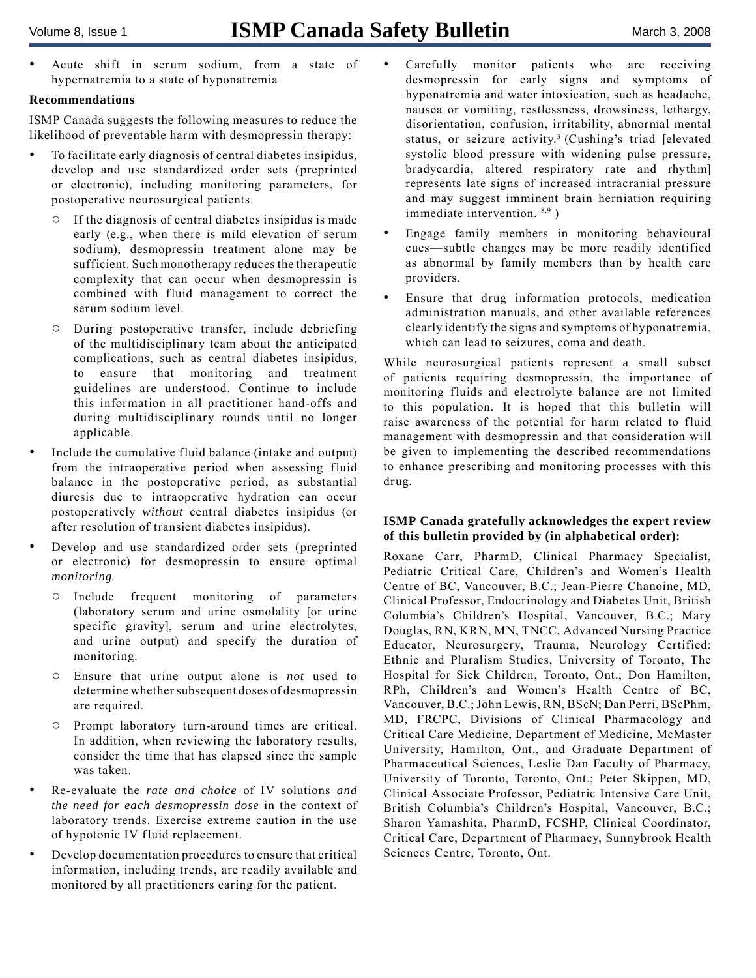Acute shift in serum sodium, from a state of hypernatremia to a state of hyponatremia •

#### **Recommendations**

ISMP Canada suggests the following measures to reduce the likelihood of preventable harm with desmopressin therapy:

- To facilitate early diagnosis of central diabetes insipidus, develop and use standardized order sets (preprinted or electronic), including monitoring parameters, for postoperative neurosurgical patients. •
	- If the diagnosis of central diabetes insipidus is made early (e.g., when there is mild elevation of serum sodium), desmopressin treatment alone may be sufficient. Such monotherapy reduces the therapeutic complexity that can occur when desmopressin is combined with fluid management to correct the serum sodium level.  $\circ$
	- During postoperative transfer, include debriefing of the multidisciplinary team about the anticipated complications, such as central diabetes insipidus, to ensure that monitoring and treatment guidelines are understood. Continue to include this information in all practitioner hand-offs and during multidisciplinary rounds until no longer applicable.  $\circ$
- Include the cumulative fluid balance (intake and output) from the intraoperative period when assessing fluid balance in the postoperative period, as substantial diuresis due to intraoperative hydration can occur postoperatively *without* central diabetes insipidus (or after resolution of transient diabetes insipidus). •
- Develop and use standardized order sets (preprinted or electronic) for desmopressin to ensure optimal *monitoring*. •
	- Include frequent monitoring of parameters (laboratory serum and urine osmolality [or urine specific gravity], serum and urine electrolytes, and urine output) and specify the duration of monitoring.  $\circ$
	- Ensure that urine output alone is *not* used to determine whether subsequent doses of desmopressin are required.  $\circ$
	- Prompt laboratory turn-around times are critical. In addition, when reviewing the laboratory results, consider the time that has elapsed since the sample was taken.
- Re-evaluate the *rate and choice* of IV solutions *and the need for each desmopressin dose* in the context of laboratory trends. Exercise extreme caution in the use of hypotonic IV fluid replacement. •
- Develop documentation procedures to ensure that critical information, including trends, are readily available and monitored by all practitioners caring for the patient. •
- Carefully monitor patients who are receiving desmopressin for early signs and symptoms of hyponatremia and water intoxication, such as headache, nausea or vomiting, restlessness, drowsiness, lethargy, disorientation, confusion, irritability, abnormal mental status, or seizure activity.<sup>3</sup> (Cushing's triad [elevated] systolic blood pressure with widening pulse pressure, bradycardia, altered respiratory rate and rhythm] represents late signs of increased intracranial pressure and may suggest imminent brain herniation requiring immediate intervention.  $8,9$ ) •
- Engage family members in monitoring behavioural cues—subtle changes may be more readily identified as abnormal by family members than by health care providers. •
- Ensure that drug information protocols, medication administration manuals, and other available references clearly identify the signs and symptoms of hyponatremia, which can lead to seizures, coma and death. •

While neurosurgical patients represent a small subset of patients requiring desmopressin, the importance of monitoring fluids and electrolyte balance are not limited to this population. It is hoped that this bulletin will raise awareness of the potential for harm related to fluid management with desmopressin and that consideration will be given to implementing the described recommendations to enhance prescribing and monitoring processes with this drug.

#### **ISMP Canada gratefully acknowledges the expert review of this bulletin provided by (in alphabetical order):**

Roxane Carr, PharmD, Clinical Pharmacy Specialist, Pediatric Critical Care, Children's and Women's Health Centre of BC, Vancouver, B.C.; Jean-Pierre Chanoine, MD, Clinical Professor, Endocrinology and Diabetes Unit, British Columbia's Children's Hospital, Vancouver, B.C.; Mary Douglas, RN, KRN, MN, TNCC, Advanced Nursing Practice Educator, Neurosurgery, Trauma, Neurology Certified: Ethnic and Pluralism Studies, University of Toronto, The Hospital for Sick Children, Toronto, Ont.; Don Hamilton, RPh, Children's and Women's Health Centre of BC, Vancouver, B.C.; John Lewis, RN, BScN; Dan Perri, BScPhm, MD, FRCPC, Divisions of Clinical Pharmacology and Critical Care Medicine, Department of Medicine, McMaster University, Hamilton, Ont., and Graduate Department of Pharmaceutical Sciences, Leslie Dan Faculty of Pharmacy, University of Toronto, Toronto, Ont.; Peter Skippen, MD, Clinical Associate Professor, Pediatric Intensive Care Unit, British Columbia's Children's Hospital, Vancouver, B.C.; Sharon Yamashita, PharmD, FCSHP, Clinical Coordinator, Critical Care, Department of Pharmacy, Sunnybrook Health Sciences Centre, Toronto, Ont.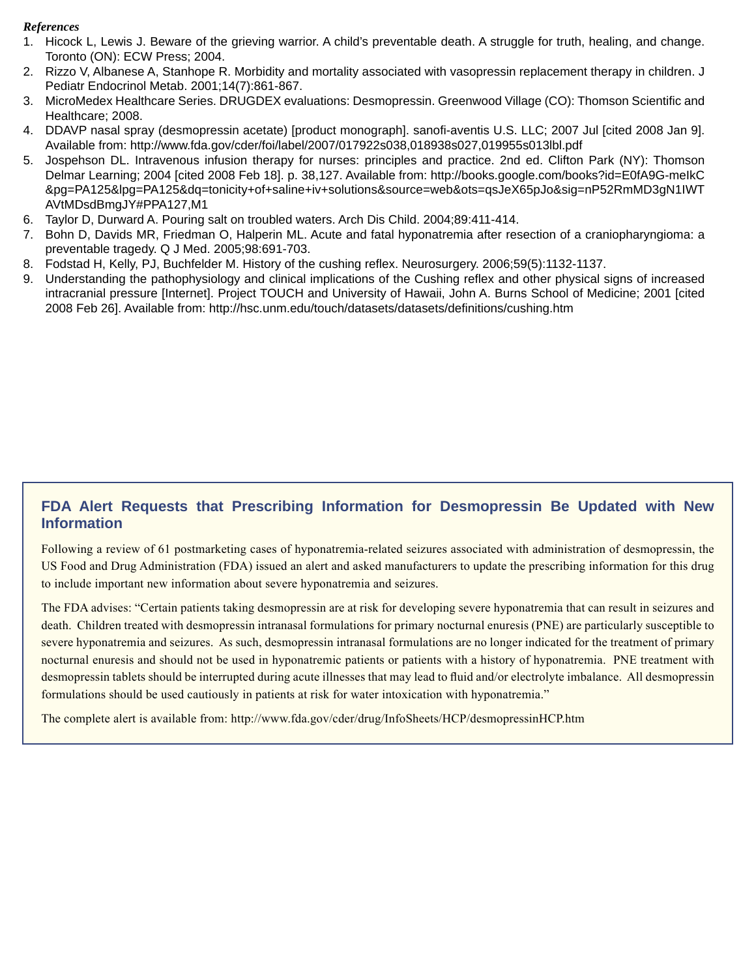#### *References*

- 1. Hicock L, Lewis J. Beware of the grieving warrior. A child's preventable death. A struggle for truth, healing, and change. Toronto (ON): ECW Press; 2004.
- 2. Rizzo V, Albanese A, Stanhope R. Morbidity and mortality associated with vasopressin replacement therapy in children. J Pediatr Endocrinol Metab. 2001;14(7):861-867.
- 3. MicroMedex Healthcare Series. DRUGDEX evaluations: Desmopressin. Greenwood Village (CO): Thomson Scientific and Healthcare; 2008.
- 4. DDAVP nasal spray (desmopressin acetate) [product monograph]. sanofi-aventis U.S. LLC; 2007 Jul [cited 2008 Jan 9]. Available from: http://www.fda.gov/cder/foi/label/2007/017922s038,018938s027,019955s013lbl.pdf
- 5. Jospehson DL. Intravenous infusion therapy for nurses: principles and practice. 2nd ed. Clifton Park (NY): Thomson Delmar Learning; 2004 [cited 2008 Feb 18]. p. 38,127. Available from: http://books.google.com/books?id=E0fA9G-meIkC &pg=PA125&lpg=PA125&dq=tonicity+of+saline+iv+solutions&source=web&ots=qsJeX65pJo&sig=nP52RmMD3gN1IWT AVtMDsdBmgJY#PPA127,M1
- 6. Taylor D, Durward A. Pouring salt on troubled waters. Arch Dis Child. 2004;89:411-414.
- Bohn D, Davids MR, Friedman O, Halperin ML. Acute and fatal hyponatremia after resection of a craniopharyngioma: a preventable tragedy. Q J Med. 2005;98:691-703. 7.
- 8. Fodstad H, Kelly, PJ, Buchfelder M. History of the cushing reflex. Neurosurgery. 2006;59(5):1132-1137.
- 9. Understanding the pathophysiology and clinical implications of the Cushing reflex and other physical signs of increased intracranial pressure [Internet]. Project TOUCH and University of Hawaii, John A. Burns School of Medicine; 2001 [cited 2008 Feb 26]. Available from: http://hsc.unm.edu/touch/datasets/datasets/definitions/cushing.htm

## **FDA Alert Requests that Prescribing Information for Desmopressin Be Updated with New Information**

Following a review of 61 postmarketing cases of hyponatremia-related seizures associated with administration of desmopressin, the US Food and Drug Administration (FDA) issued an alert and asked manufacturers to update the prescribing information for this drug to include important new information about severe hyponatremia and seizures.

The FDA advises: "Certain patients taking desmopressin are at risk for developing severe hyponatremia that can result in seizures and death. Children treated with desmopressin intranasal formulations for primary nocturnal enuresis (PNE) are particularly susceptible to severe hyponatremia and seizures. As such, desmopressin intranasal formulations are no longer indicated for the treatment of primary nocturnal enuresis and should not be used in hyponatremic patients or patients with a history of hyponatremia. PNE treatment with desmopressin tablets should be interrupted during acute illnesses that may lead to fluid and/or electrolyte imbalance. All desmopressin formulations should be used cautiously in patients at risk for water intoxication with hyponatremia."

The complete alert is available from: http://www.fda.gov/cder/drug/InfoSheets/HCP/desmopressinHCP.htm